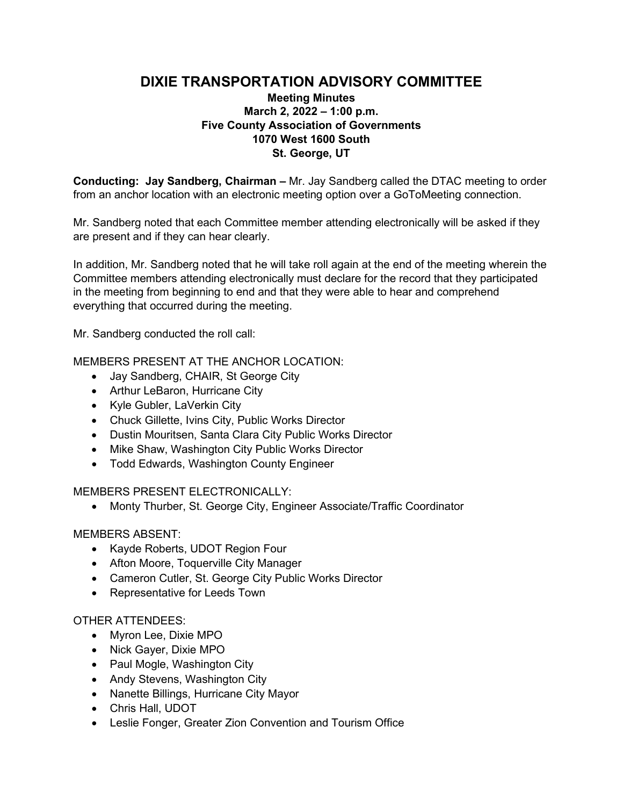# **DIXIE TRANSPORTATION ADVISORY COMMITTEE**

## **Meeting Minutes March 2, 2022 – 1:00 p.m. Five County Association of Governments 1070 West 1600 South St. George, UT**

**Conducting: Jay Sandberg, Chairman –** Mr. Jay Sandberg called the DTAC meeting to order from an anchor location with an electronic meeting option over a GoToMeeting connection.

Mr. Sandberg noted that each Committee member attending electronically will be asked if they are present and if they can hear clearly.

In addition, Mr. Sandberg noted that he will take roll again at the end of the meeting wherein the Committee members attending electronically must declare for the record that they participated in the meeting from beginning to end and that they were able to hear and comprehend everything that occurred during the meeting.

Mr. Sandberg conducted the roll call:

MEMBERS PRESENT AT THE ANCHOR LOCATION:

- Jay Sandberg, CHAIR, St George City
- Arthur LeBaron, Hurricane City
- Kyle Gubler, LaVerkin City
- Chuck Gillette, Ivins City, Public Works Director
- Dustin Mouritsen, Santa Clara City Public Works Director
- Mike Shaw, Washington City Public Works Director
- Todd Edwards, Washington County Engineer

MEMBERS PRESENT ELECTRONICALLY:

• Monty Thurber, St. George City, Engineer Associate/Traffic Coordinator

### MEMBERS ABSENT:

- Kayde Roberts, UDOT Region Four
- Afton Moore, Toquerville City Manager
- Cameron Cutler, St. George City Public Works Director
- Representative for Leeds Town

### OTHER ATTENDEES:

- Myron Lee, Dixie MPO
- Nick Gayer, Dixie MPO
- Paul Mogle, Washington City
- Andy Stevens, Washington City
- Nanette Billings, Hurricane City Mayor
- Chris Hall, UDOT
- Leslie Fonger, Greater Zion Convention and Tourism Office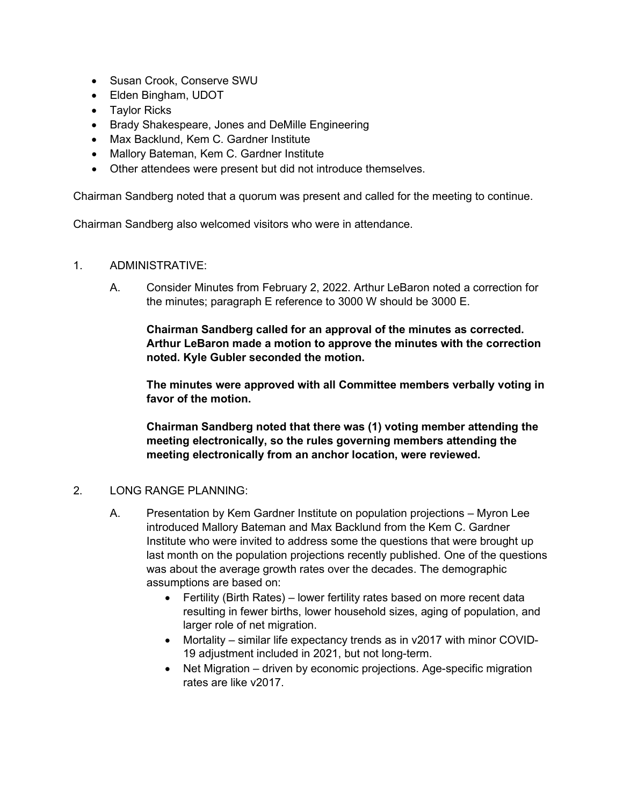- Susan Crook, Conserve SWU
- Elden Bingham, UDOT
- Taylor Ricks
- Brady Shakespeare, Jones and DeMille Engineering
- Max Backlund, Kem C. Gardner Institute
- Mallory Bateman, Kem C. Gardner Institute
- Other attendees were present but did not introduce themselves.

Chairman Sandberg noted that a quorum was present and called for the meeting to continue.

Chairman Sandberg also welcomed visitors who were in attendance.

- 1. ADMINISTRATIVE:
	- A. Consider Minutes from February 2, 2022. Arthur LeBaron noted a correction for the minutes; paragraph E reference to 3000 W should be 3000 E.

**Chairman Sandberg called for an approval of the minutes as corrected. Arthur LeBaron made a motion to approve the minutes with the correction noted. Kyle Gubler seconded the motion.**

**The minutes were approved with all Committee members verbally voting in favor of the motion.**

**Chairman Sandberg noted that there was (1) voting member attending the meeting electronically, so the rules governing members attending the meeting electronically from an anchor location, were reviewed.** 

#### 2. LONG RANGE PLANNING:

- A. Presentation by Kem Gardner Institute on population projections Myron Lee introduced Mallory Bateman and Max Backlund from the Kem C. Gardner Institute who were invited to address some the questions that were brought up last month on the population projections recently published. One of the questions was about the average growth rates over the decades. The demographic assumptions are based on:
	- Fertility (Birth Rates) lower fertility rates based on more recent data resulting in fewer births, lower household sizes, aging of population, and larger role of net migration.
	- Mortality similar life expectancy trends as in v2017 with minor COVID-19 adjustment included in 2021, but not long-term.
	- Net Migration driven by economic projections. Age-specific migration rates are like v2017.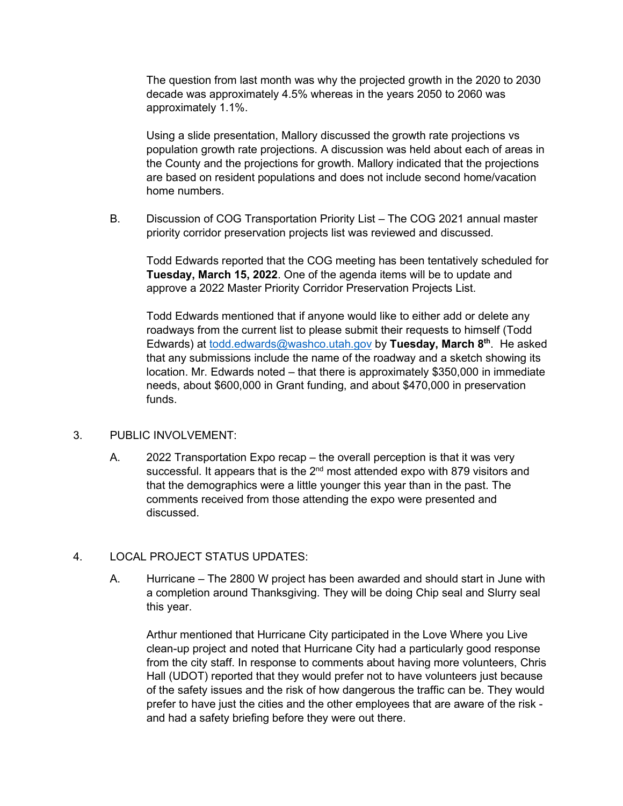The question from last month was why the projected growth in the 2020 to 2030 decade was approximately 4.5% whereas in the years 2050 to 2060 was approximately 1.1%.

Using a slide presentation, Mallory discussed the growth rate projections vs population growth rate projections. A discussion was held about each of areas in the County and the projections for growth. Mallory indicated that the projections are based on resident populations and does not include second home/vacation home numbers.

B. Discussion of COG Transportation Priority List – The COG 2021 annual master priority corridor preservation projects list was reviewed and discussed.

Todd Edwards reported that the COG meeting has been tentatively scheduled for **Tuesday, March 15, 2022**. One of the agenda items will be to update and approve a 2022 Master Priority Corridor Preservation Projects List.

Todd Edwards mentioned that if anyone would like to either add or delete any roadways from the current list to please submit their requests to himself (Todd Edwards) at [todd.edwards@washco.utah.gov](mailto:todd.edwards@washco.utah.gov) by Tuesday, March 8<sup>th</sup>. He asked that any submissions include the name of the roadway and a sketch showing its location. Mr. Edwards noted – that there is approximately \$350,000 in immediate needs, about \$600,000 in Grant funding, and about \$470,000 in preservation funds.

### 3. PUBLIC INVOLVEMENT:

A. 2022 Transportation Expo recap – the overall perception is that it was very successful. It appears that is the  $2<sup>nd</sup>$  most attended expo with 879 visitors and that the demographics were a little younger this year than in the past. The comments received from those attending the expo were presented and discussed.

## 4. LOCAL PROJECT STATUS UPDATES:

A. Hurricane – The 2800 W project has been awarded and should start in June with a completion around Thanksgiving. They will be doing Chip seal and Slurry seal this year.

Arthur mentioned that Hurricane City participated in the Love Where you Live clean-up project and noted that Hurricane City had a particularly good response from the city staff. In response to comments about having more volunteers, Chris Hall (UDOT) reported that they would prefer not to have volunteers just because of the safety issues and the risk of how dangerous the traffic can be. They would prefer to have just the cities and the other employees that are aware of the risk and had a safety briefing before they were out there.